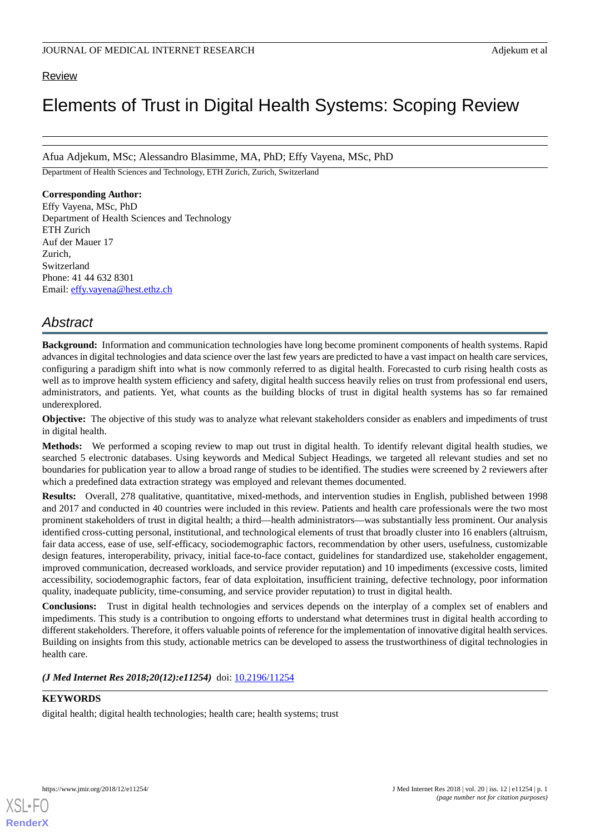# Review

# Elements of Trust in Digital Health Systems: Scoping Review

Afua Adjekum, MSc; Alessandro Blasimme, MA, PhD; Effy Vayena, MSc, PhD

Department of Health Sciences and Technology, ETH Zurich, Zurich, Switzerland

# **Corresponding Author:**

Effy Vayena, MSc, PhD Department of Health Sciences and Technology ETH Zurich Auf der Mauer 17 Zurich, Switzerland Phone: 41 44 632 8301 Email: [effy.vayena@hest.ethz.ch](mailto:effy.vayena@hest.ethz.ch)

# *Abstract*

**Background:** Information and communication technologies have long become prominent components of health systems. Rapid advances in digital technologies and data science over the last few years are predicted to have a vast impact on health care services, configuring a paradigm shift into what is now commonly referred to as digital health. Forecasted to curb rising health costs as well as to improve health system efficiency and safety, digital health success heavily relies on trust from professional end users, administrators, and patients. Yet, what counts as the building blocks of trust in digital health systems has so far remained underexplored.

**Objective:** The objective of this study was to analyze what relevant stakeholders consider as enablers and impediments of trust in digital health.

**Methods:** We performed a scoping review to map out trust in digital health. To identify relevant digital health studies, we searched 5 electronic databases. Using keywords and Medical Subject Headings, we targeted all relevant studies and set no boundaries for publication year to allow a broad range of studies to be identified. The studies were screened by 2 reviewers after which a predefined data extraction strategy was employed and relevant themes documented.

**Results:** Overall, 278 qualitative, quantitative, mixed-methods, and intervention studies in English, published between 1998 and 2017 and conducted in 40 countries were included in this review. Patients and health care professionals were the two most prominent stakeholders of trust in digital health; a third—health administrators—was substantially less prominent. Our analysis identified cross-cutting personal, institutional, and technological elements of trust that broadly cluster into 16 enablers (altruism, fair data access, ease of use, self-efficacy, sociodemographic factors, recommendation by other users, usefulness, customizable design features, interoperability, privacy, initial face-to-face contact, guidelines for standardized use, stakeholder engagement, improved communication, decreased workloads, and service provider reputation) and 10 impediments (excessive costs, limited accessibility, sociodemographic factors, fear of data exploitation, insufficient training, defective technology, poor information quality, inadequate publicity, time-consuming, and service provider reputation) to trust in digital health.

**Conclusions:** Trust in digital health technologies and services depends on the interplay of a complex set of enablers and impediments. This study is a contribution to ongoing efforts to understand what determines trust in digital health according to different stakeholders. Therefore, it offers valuable points of reference for the implementation of innovative digital health services. Building on insights from this study, actionable metrics can be developed to assess the trustworthiness of digital technologies in health care.

*(J Med Internet Res 2018;20(12):e11254)* doi:  $10.2196/11254$ 

# **KEYWORDS**

[XSL](http://www.w3.org/Style/XSL)•FO **[RenderX](http://www.renderx.com/)**

digital health; digital health technologies; health care; health systems; trust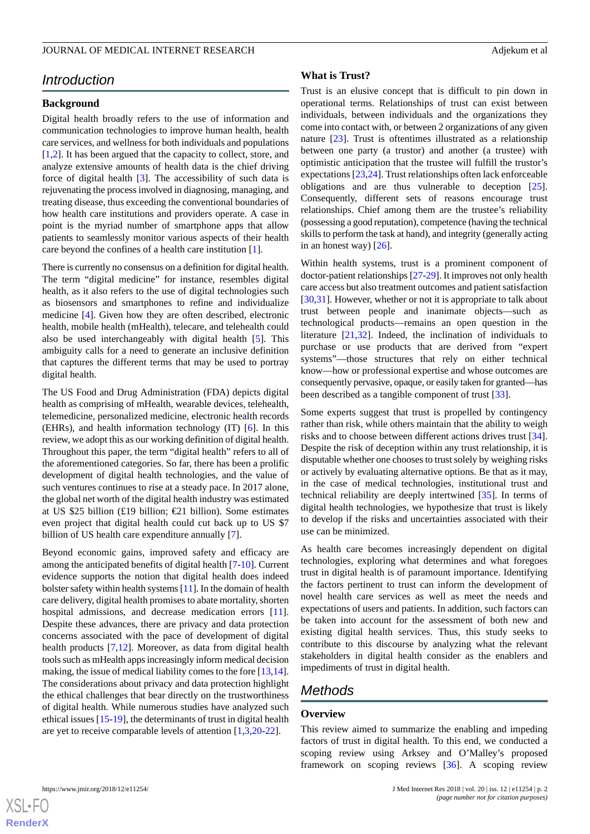# *Introduction*

# **Background**

Digital health broadly refers to the use of information and communication technologies to improve human health, health care services, and wellness for both individuals and populations [[1](#page-7-0)[,2](#page-7-1)]. It has been argued that the capacity to collect, store, and analyze extensive amounts of health data is the chief driving force of digital health [\[3](#page-7-2)]. The accessibility of such data is rejuvenating the process involved in diagnosing, managing, and treating disease, thus exceeding the conventional boundaries of how health care institutions and providers operate. A case in point is the myriad number of smartphone apps that allow patients to seamlessly monitor various aspects of their health care beyond the confines of a health care institution [[1\]](#page-7-0).

There is currently no consensus on a definition for digital health. The term "digital medicine" for instance, resembles digital health, as it also refers to the use of digital technologies such as biosensors and smartphones to refine and individualize medicine [[4\]](#page-7-3). Given how they are often described, electronic health, mobile health (mHealth), telecare, and telehealth could also be used interchangeably with digital health [[5\]](#page-7-4). This ambiguity calls for a need to generate an inclusive definition that captures the different terms that may be used to portray digital health.

The US Food and Drug Administration (FDA) depicts digital health as comprising of mHealth, wearable devices, telehealth, telemedicine, personalized medicine, electronic health records (EHRs), and health information technology (IT) [[6\]](#page-7-5). In this review, we adopt this as our working definition of digital health. Throughout this paper, the term "digital health" refers to all of the aforementioned categories. So far, there has been a prolific development of digital health technologies, and the value of such ventures continues to rise at a steady pace. In 2017 alone, the global net worth of the digital health industry was estimated at US \$25 billion (£19 billion;  $\text{\textsterling}1$  billion). Some estimates even project that digital health could cut back up to US \$7 billion of US health care expenditure annually [\[7](#page-7-6)].

Beyond economic gains, improved safety and efficacy are among the anticipated benefits of digital health [[7-](#page-7-6)[10](#page-7-7)]. Current evidence supports the notion that digital health does indeed bolster safety within health systems [\[11\]](#page-7-8). In the domain of health care delivery, digital health promises to abate mortality, shorten hospital admissions, and decrease medication errors [[11\]](#page-7-8). Despite these advances, there are privacy and data protection concerns associated with the pace of development of digital health products [[7,](#page-7-6)[12](#page-7-9)]. Moreover, as data from digital health tools such as mHealth apps increasingly inform medical decision making, the issue of medical liability comes to the fore [\[13](#page-7-10),[14\]](#page-7-11). The considerations about privacy and data protection highlight the ethical challenges that bear directly on the trustworthiness of digital health. While numerous studies have analyzed such ethical issues [\[15](#page-8-0)-[19\]](#page-8-1), the determinants of trust in digital health are yet to receive comparable levels of attention [\[1](#page-7-0),[3](#page-7-2)[,20](#page-8-2)-[22\]](#page-8-3).

#### **What is Trust?**

Trust is an elusive concept that is difficult to pin down in operational terms. Relationships of trust can exist between individuals, between individuals and the organizations they come into contact with, or between 2 organizations of any given nature [\[23](#page-8-4)]. Trust is oftentimes illustrated as a relationship between one party (a trustor) and another (a trustee) with optimistic anticipation that the trustee will fulfill the trustor's expectations [[23](#page-8-4)[,24](#page-8-5)]. Trust relationships often lack enforceable obligations and are thus vulnerable to deception [[25\]](#page-8-6). Consequently, different sets of reasons encourage trust relationships. Chief among them are the trustee's reliability (possessing a good reputation), competence (having the technical skills to perform the task at hand), and integrity (generally acting in an honest way)  $[26]$  $[26]$ .

Within health systems, trust is a prominent component of doctor-patient relationships [[27-](#page-8-8)[29\]](#page-8-9). It improves not only health care access but also treatment outcomes and patient satisfaction [[30,](#page-8-10)[31\]](#page-8-11). However, whether or not it is appropriate to talk about trust between people and inanimate objects—such as technological products—remains an open question in the literature [\[21](#page-8-12),[32\]](#page-8-13). Indeed, the inclination of individuals to purchase or use products that are derived from "expert systems"—those structures that rely on either technical know—how or professional expertise and whose outcomes are consequently pervasive, opaque, or easily taken for granted—has been described as a tangible component of trust [[33\]](#page-8-14).

Some experts suggest that trust is propelled by contingency rather than risk, while others maintain that the ability to weigh risks and to choose between different actions drives trust [[34\]](#page-8-15). Despite the risk of deception within any trust relationship, it is disputable whether one chooses to trust solely by weighing risks or actively by evaluating alternative options. Be that as it may, in the case of medical technologies, institutional trust and technical reliability are deeply intertwined [\[35](#page-8-16)]. In terms of digital health technologies, we hypothesize that trust is likely to develop if the risks and uncertainties associated with their use can be minimized.

As health care becomes increasingly dependent on digital technologies, exploring what determines and what foregoes trust in digital health is of paramount importance. Identifying the factors pertinent to trust can inform the development of novel health care services as well as meet the needs and expectations of users and patients. In addition, such factors can be taken into account for the assessment of both new and existing digital health services. Thus, this study seeks to contribute to this discourse by analyzing what the relevant stakeholders in digital health consider as the enablers and impediments of trust in digital health.

# *Methods*

#### **Overview**

This review aimed to summarize the enabling and impeding factors of trust in digital health. To this end, we conducted a scoping review using Arksey and O'Malley's proposed framework on scoping reviews [[36\]](#page-8-17). A scoping review

```
XS • FC
RenderX
```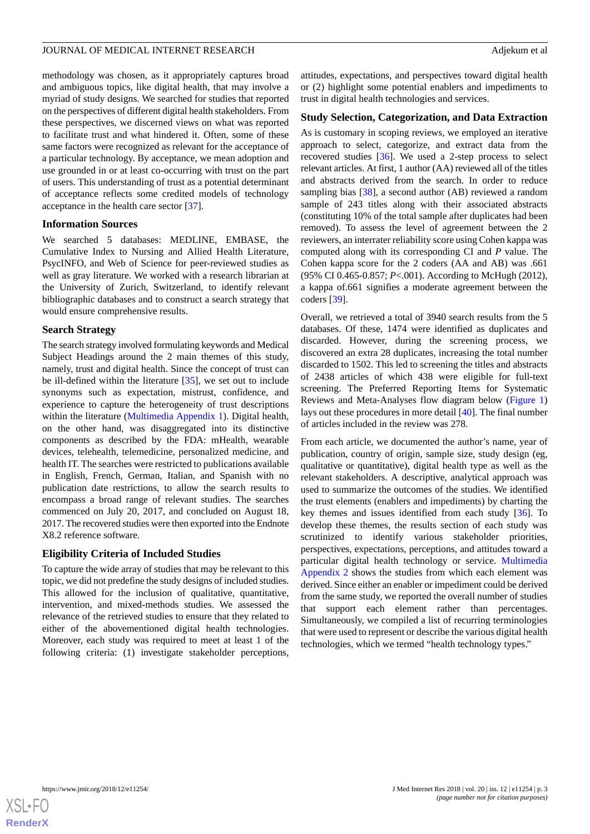methodology was chosen, as it appropriately captures broad and ambiguous topics, like digital health, that may involve a myriad of study designs. We searched for studies that reported on the perspectives of different digital health stakeholders. From these perspectives, we discerned views on what was reported to facilitate trust and what hindered it. Often, some of these same factors were recognized as relevant for the acceptance of a particular technology. By acceptance, we mean adoption and use grounded in or at least co-occurring with trust on the part of users. This understanding of trust as a potential determinant of acceptance reflects some credited models of technology acceptance in the health care sector [[37\]](#page-8-18).

#### **Information Sources**

We searched 5 databases: MEDLINE, EMBASE, the Cumulative Index to Nursing and Allied Health Literature, PsycINFO, and Web of Science for peer-reviewed studies as well as gray literature. We worked with a research librarian at the University of Zurich, Switzerland, to identify relevant bibliographic databases and to construct a search strategy that would ensure comprehensive results.

## **Search Strategy**

The search strategy involved formulating keywords and Medical Subject Headings around the 2 main themes of this study, namely, trust and digital health. Since the concept of trust can be ill-defined within the literature [[35\]](#page-8-16), we set out to include synonyms such as expectation, mistrust, confidence, and experience to capture the heterogeneity of trust descriptions within the literature [\(Multimedia Appendix 1](#page-7-12)). Digital health, on the other hand, was disaggregated into its distinctive components as described by the FDA: mHealth, wearable devices, telehealth, telemedicine, personalized medicine, and health IT. The searches were restricted to publications available in English, French, German, Italian, and Spanish with no publication date restrictions, to allow the search results to encompass a broad range of relevant studies. The searches commenced on July 20, 2017, and concluded on August 18, 2017. The recovered studies were then exported into the Endnote X8.2 reference software.

## **Eligibility Criteria of Included Studies**

To capture the wide array of studies that may be relevant to this topic, we did not predefine the study designs of included studies. This allowed for the inclusion of qualitative, quantitative, intervention, and mixed-methods studies. We assessed the relevance of the retrieved studies to ensure that they related to either of the abovementioned digital health technologies. Moreover, each study was required to meet at least 1 of the following criteria: (1) investigate stakeholder perceptions,

attitudes, expectations, and perspectives toward digital health or (2) highlight some potential enablers and impediments to trust in digital health technologies and services.

#### **Study Selection, Categorization, and Data Extraction**

As is customary in scoping reviews, we employed an iterative approach to select, categorize, and extract data from the recovered studies [\[36](#page-8-17)]. We used a 2-step process to select relevant articles. At first, 1 author (AA) reviewed all of the titles and abstracts derived from the search. In order to reduce sampling bias [[38\]](#page-8-19), a second author (AB) reviewed a random sample of 243 titles along with their associated abstracts (constituting 10% of the total sample after duplicates had been removed). To assess the level of agreement between the 2 reviewers, an interrater reliability score using Cohen kappa was computed along with its corresponding CI and *P* value. The Cohen kappa score for the 2 coders (AA and AB) was .661 (95% CI 0.465-0.857; *P*<.001). According to McHugh (2012), a kappa of.661 signifies a moderate agreement between the coders [[39\]](#page-8-20).

Overall, we retrieved a total of 3940 search results from the 5 databases. Of these, 1474 were identified as duplicates and discarded. However, during the screening process, we discovered an extra 28 duplicates, increasing the total number discarded to 1502. This led to screening the titles and abstracts of 2438 articles of which 438 were eligible for full-text screening. The Preferred Reporting Items for Systematic Reviews and Meta-Analyses flow diagram below [\(Figure 1](#page-3-0)) lays out these procedures in more detail [\[40](#page-8-21)]. The final number of articles included in the review was 278.

From each article, we documented the author's name, year of publication, country of origin, sample size, study design (eg, qualitative or quantitative), digital health type as well as the relevant stakeholders. A descriptive, analytical approach was used to summarize the outcomes of the studies. We identified the trust elements (enablers and impediments) by charting the key themes and issues identified from each study [\[36](#page-8-17)]. To develop these themes, the results section of each study was scrutinized to identify various stakeholder priorities, perspectives, expectations, perceptions, and attitudes toward a particular digital health technology or service. [Multimedia](#page-7-13) [Appendix 2](#page-7-13) shows the studies from which each element was derived. Since either an enabler or impediment could be derived from the same study, we reported the overall number of studies that support each element rather than percentages. Simultaneously, we compiled a list of recurring terminologies that were used to represent or describe the various digital health technologies, which we termed "health technology types."

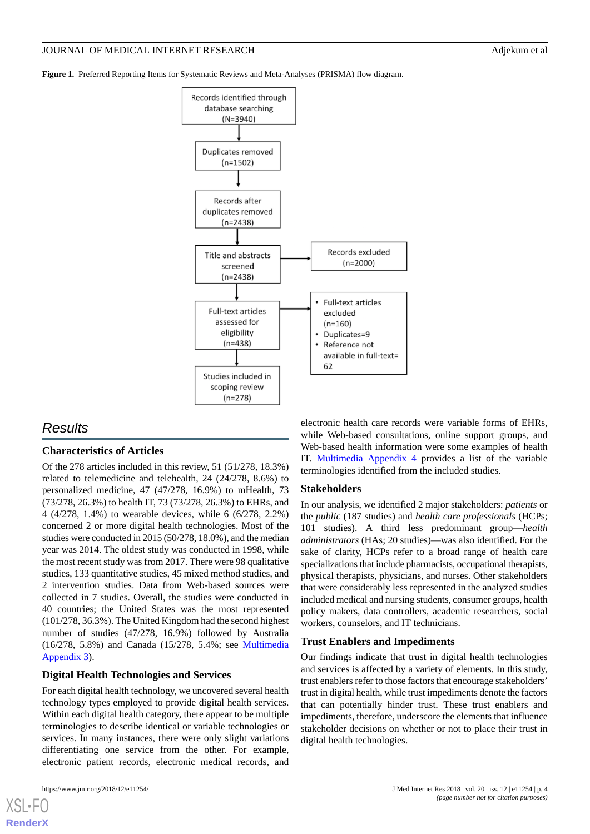<span id="page-3-0"></span>**Figure 1.** Preferred Reporting Items for Systematic Reviews and Meta-Analyses (PRISMA) flow diagram.



# *Results*

## **Characteristics of Articles**

Of the 278 articles included in this review, 51 (51/278, 18.3%) related to telemedicine and telehealth, 24 (24/278, 8.6%) to personalized medicine, 47 (47/278, 16.9%) to mHealth, 73 (73/278, 26.3%) to health IT, 73 (73/278, 26.3%) to EHRs, and 4 (4/278, 1.4%) to wearable devices, while 6 (6/278, 2.2%) concerned 2 or more digital health technologies. Most of the studies were conducted in 2015 (50/278, 18.0%), and the median year was 2014. The oldest study was conducted in 1998, while the most recent study was from 2017. There were 98 qualitative studies, 133 quantitative studies, 45 mixed method studies, and 2 intervention studies. Data from Web-based sources were collected in 7 studies. Overall, the studies were conducted in 40 countries; the United States was the most represented (101/278, 36.3%). The United Kingdom had the second highest number of studies (47/278, 16.9%) followed by Australia (16/278, 5.8%) and Canada (15/278, 5.4%; see [Multimedia](#page-7-14) [Appendix 3\)](#page-7-14).

## **Digital Health Technologies and Services**

For each digital health technology, we uncovered several health technology types employed to provide digital health services. Within each digital health category, there appear to be multiple terminologies to describe identical or variable technologies or services. In many instances, there were only slight variations differentiating one service from the other. For example, electronic patient records, electronic medical records, and

electronic health care records were variable forms of EHRs, while Web-based consultations, online support groups, and Web-based health information were some examples of health IT. [Multimedia Appendix 4](#page-7-15) provides a list of the variable terminologies identified from the included studies.

#### **Stakeholders**

In our analysis, we identified 2 major stakeholders: *patients* or the *public* (187 studies) and *health care professionals* (HCPs; 101 studies). A third less predominant group—*health administrators* (HAs; 20 studies)—was also identified. For the sake of clarity, HCPs refer to a broad range of health care specializations that include pharmacists, occupational therapists, physical therapists, physicians, and nurses. Other stakeholders that were considerably less represented in the analyzed studies included medical and nursing students, consumer groups, health policy makers, data controllers, academic researchers, social workers, counselors, and IT technicians.

#### **Trust Enablers and Impediments**

Our findings indicate that trust in digital health technologies and services is affected by a variety of elements. In this study, trust enablers refer to those factors that encourage stakeholders' trust in digital health, while trust impediments denote the factors that can potentially hinder trust. These trust enablers and impediments, therefore, underscore the elements that influence stakeholder decisions on whether or not to place their trust in digital health technologies.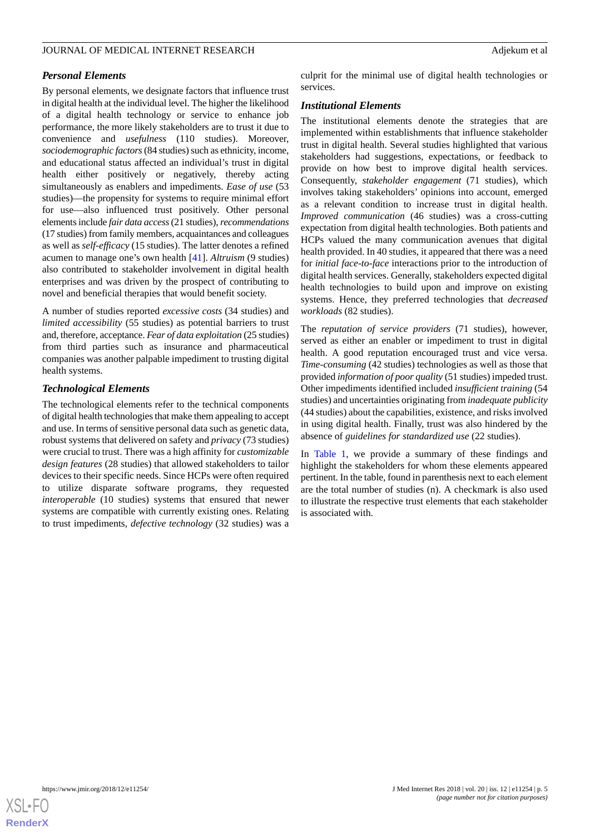# *Personal Elements*

By personal elements, we designate factors that influence trust in digital health at the individual level. The higher the likelihood of a digital health technology or service to enhance job performance, the more likely stakeholders are to trust it due to convenience and *usefulness* (110 studies). Moreover, *sociodemographic factors*(84 studies) such as ethnicity, income, and educational status affected an individual's trust in digital health either positively or negatively, thereby acting simultaneously as enablers and impediments. *Ease of use* (53 studies)—the propensity for systems to require minimal effort for use—also influenced trust positively. Other personal elements include *fair data access*(21 studies), *recommendations* (17 studies) from family members, acquaintances and colleagues as well as *self-efficacy* (15 studies). The latter denotes a refined acumen to manage one's own health [\[41](#page-8-22)]. *Altruism* (9 studies) also contributed to stakeholder involvement in digital health enterprises and was driven by the prospect of contributing to novel and beneficial therapies that would benefit society.

A number of studies reported *excessive costs* (34 studies) and *limited accessibility* (55 studies) as potential barriers to trust and, therefore, acceptance. *Fear of data exploitation* (25 studies) from third parties such as insurance and pharmaceutical companies was another palpable impediment to trusting digital health systems.

# *Technological Elements*

The technological elements refer to the technical components of digital health technologies that make them appealing to accept and use. In terms of sensitive personal data such as genetic data, robust systems that delivered on safety and *privacy* (73 studies) were crucial to trust. There was a high affinity for *customizable design features* (28 studies) that allowed stakeholders to tailor devices to their specific needs. Since HCPs were often required to utilize disparate software programs, they requested *interoperable* (10 studies) systems that ensured that newer systems are compatible with currently existing ones. Relating to trust impediments, *defective technology* (32 studies) was a

culprit for the minimal use of digital health technologies or services.

#### *Institutional Elements*

The institutional elements denote the strategies that are implemented within establishments that influence stakeholder trust in digital health. Several studies highlighted that various stakeholders had suggestions, expectations, or feedback to provide on how best to improve digital health services. Consequently, *stakeholder engagement* (71 studies), which involves taking stakeholders' opinions into account, emerged as a relevant condition to increase trust in digital health. *Improved communication* (46 studies) was a cross-cutting expectation from digital health technologies. Both patients and HCPs valued the many communication avenues that digital health provided. In 40 studies, it appeared that there was a need for *initial face-to-face* interactions prior to the introduction of digital health services. Generally, stakeholders expected digital health technologies to build upon and improve on existing systems. Hence, they preferred technologies that *decreased workloads* (82 studies).

The *reputation of service providers* (71 studies), however, served as either an enabler or impediment to trust in digital health. A good reputation encouraged trust and vice versa. *Time-consuming* (42 studies) technologies as well as those that provided *information of poor quality* (51 studies) impeded trust. Other impediments identified included *insufficient training* (54 studies) and uncertainties originating from *inadequate publicity* (44 studies) about the capabilities, existence, and risks involved in using digital health. Finally, trust was also hindered by the absence of *guidelines for standardized use* (22 studies).

In [Table 1](#page-5-0), we provide a summary of these findings and highlight the stakeholders for whom these elements appeared pertinent. In the table, found in parenthesis next to each element are the total number of studies (n). A checkmark is also used to illustrate the respective trust elements that each stakeholder is associated with.

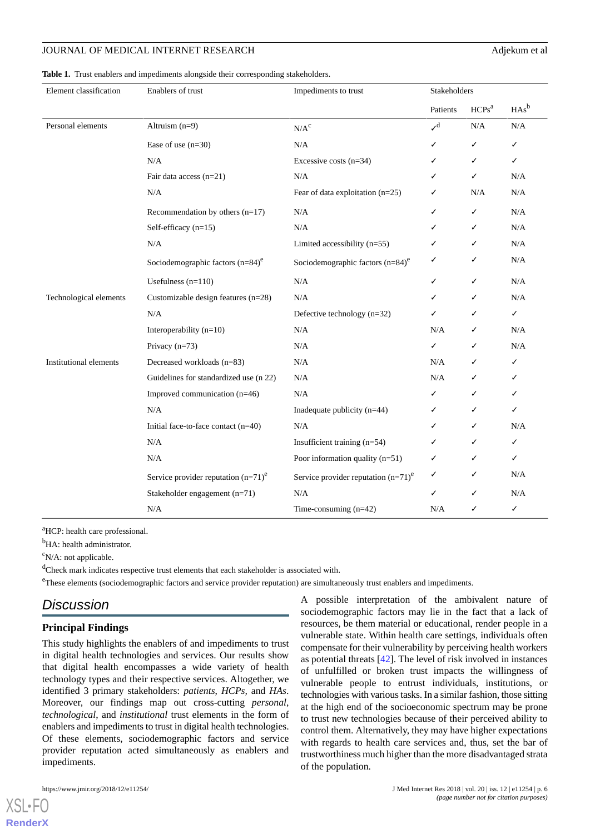<span id="page-5-0"></span>**Table 1.** Trust enablers and impediments alongside their corresponding stakeholders.

| Element classification        | Enablers of trust                              | Impediments to trust                           | Stakeholders   |           |           |
|-------------------------------|------------------------------------------------|------------------------------------------------|----------------|-----------|-----------|
|                               |                                                |                                                | Patients       | $HCPs^a$  | $HAs^b$   |
| Personal elements             | Altruism $(n=9)$                               | $N/A^c$                                        | J <sup>d</sup> | $\rm N/A$ | $\rm N/A$ |
|                               | Ease of use $(n=30)$                           | N/A                                            | ✓              | ✓         | ✓         |
|                               | N/A                                            | Excessive costs $(n=34)$                       | J              | ✓         | ✓         |
|                               | Fair data access $(n=21)$                      | N/A                                            | ✓              | ✓         | N/A       |
|                               | N/A                                            | Fear of data exploitation $(n=25)$             | ✓              | N/A       | N/A       |
|                               | Recommendation by others $(n=17)$              | N/A                                            | ✓              | ✓         | $\rm N/A$ |
|                               | Self-efficacy (n=15)                           | $\rm N/A$                                      | ✓              | ✓         | $\rm N/A$ |
|                               | N/A                                            | Limited accessibility $(n=55)$                 | ✓              | ✓         | N/A       |
|                               | Sociodemographic factors $(n=84)$ <sup>e</sup> | Sociodemographic factors $(n=84)$ <sup>e</sup> | ✓              | ✓         | N/A       |
|                               | Usefulness $(n=110)$                           | N/A                                            | ✓              | ✓         | N/A       |
| Technological elements        | Customizable design features $(n=28)$          | N/A                                            | ✓              | ✓         | N/A       |
|                               | N/A                                            | Defective technology $(n=32)$                  | ✓              | ✓         | ✓         |
|                               | Interoperability $(n=10)$                      | N/A                                            | N/A            | ✓         | N/A       |
|                               | Privacy $(n=73)$                               | N/A                                            | ✓              | ✓         | N/A       |
| <b>Institutional elements</b> | Decreased workloads (n=83)                     | N/A                                            | N/A            | ✓         | ✓         |
|                               | Guidelines for standardized use (n 22)         | N/A                                            | N/A            |           | ✓         |
|                               | Improved communication (n=46)                  | $\rm N/A$                                      | ✓              | ✓         | ✓         |
|                               | N/A                                            | Inadequate publicity $(n=44)$                  | ✓              | ✓         | ✓         |
|                               | Initial face-to-face contact (n=40)            | N/A                                            | ✓              | ✓         | N/A       |
|                               | N/A                                            | Insufficient training (n=54)                   | ✓              | ✓         | ✓         |
|                               | N/A                                            | Poor information quality $(n=51)$              | ✓              | ✓         | ✓         |
|                               | Service provider reputation $(n=71)^e$         | Service provider reputation $(n=71)^e$         | ✓              | ✓         | N/A       |
|                               | Stakeholder engagement (n=71)                  | $\rm N/A$                                      | ✓              | ✓         | N/A       |
|                               | N/A                                            | Time-consuming $(n=42)$                        | N/A            | ✓         | ✓         |

<sup>a</sup>HCP: health care professional.

<sup>b</sup>HA: health administrator.

 $\rm^c$ N/A: not applicable.

<sup>d</sup>Check mark indicates respective trust elements that each stakeholder is associated with.

<sup>e</sup>These elements (sociodemographic factors and service provider reputation) are simultaneously trust enablers and impediments.

# *Discussion*

#### **Principal Findings**

This study highlights the enablers of and impediments to trust in digital health technologies and services. Our results show that digital health encompasses a wide variety of health technology types and their respective services. Altogether, we identified 3 primary stakeholders: *patients*, *HCPs,* and *HAs*. Moreover, our findings map out cross-cutting *personal*, *technological*, and *institutional* trust elements in the form of enablers and impediments to trust in digital health technologies. Of these elements, sociodemographic factors and service provider reputation acted simultaneously as enablers and impediments.

 $X$ SL•FO **[RenderX](http://www.renderx.com/)** A possible interpretation of the ambivalent nature of sociodemographic factors may lie in the fact that a lack of resources, be them material or educational, render people in a vulnerable state. Within health care settings, individuals often compensate for their vulnerability by perceiving health workers as potential threats [[42\]](#page-8-23). The level of risk involved in instances of unfulfilled or broken trust impacts the willingness of vulnerable people to entrust individuals, institutions, or technologies with various tasks. In a similar fashion, those sitting at the high end of the socioeconomic spectrum may be prone to trust new technologies because of their perceived ability to control them. Alternatively, they may have higher expectations with regards to health care services and, thus, set the bar of trustworthiness much higher than the more disadvantaged strata of the population.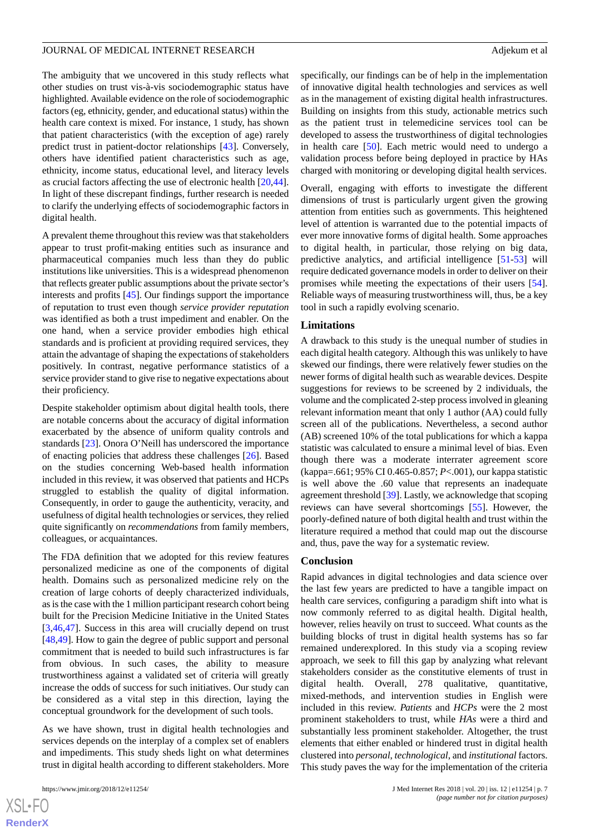The ambiguity that we uncovered in this study reflects what other studies on trust vis-à-vis sociodemographic status have highlighted. Available evidence on the role of sociodemographic factors (eg, ethnicity, gender, and educational status) within the health care context is mixed. For instance, 1 study, has shown that patient characteristics (with the exception of age) rarely predict trust in patient-doctor relationships [\[43](#page-8-24)]. Conversely, others have identified patient characteristics such as age, ethnicity, income status, educational level, and literacy levels as crucial factors affecting the use of electronic health [\[20](#page-8-2),[44\]](#page-9-0). In light of these discrepant findings, further research is needed to clarify the underlying effects of sociodemographic factors in digital health.

A prevalent theme throughout this review was that stakeholders appear to trust profit-making entities such as insurance and pharmaceutical companies much less than they do public institutions like universities. This is a widespread phenomenon that reflects greater public assumptions about the private sector's interests and profits [\[45](#page-9-1)]. Our findings support the importance of reputation to trust even though *service provider reputation* was identified as both a trust impediment and enabler. On the one hand, when a service provider embodies high ethical standards and is proficient at providing required services, they attain the advantage of shaping the expectations of stakeholders positively. In contrast, negative performance statistics of a service provider stand to give rise to negative expectations about their proficiency.

Despite stakeholder optimism about digital health tools, there are notable concerns about the accuracy of digital information exacerbated by the absence of uniform quality controls and standards [\[23](#page-8-4)]. Onora O'Neill has underscored the importance of enacting policies that address these challenges [\[26](#page-8-7)]. Based on the studies concerning Web-based health information included in this review, it was observed that patients and HCPs struggled to establish the quality of digital information. Consequently, in order to gauge the authenticity, veracity, and usefulness of digital health technologies or services, they relied quite significantly on *recommendations* from family members, colleagues, or acquaintances.

The FDA definition that we adopted for this review features personalized medicine as one of the components of digital health. Domains such as personalized medicine rely on the creation of large cohorts of deeply characterized individuals, as is the case with the 1 million participant research cohort being built for the Precision Medicine Initiative in the United States [[3](#page-7-2)[,46](#page-9-2),[47\]](#page-9-3). Success in this area will crucially depend on trust [[48](#page-9-4)[,49](#page-9-5)]. How to gain the degree of public support and personal commitment that is needed to build such infrastructures is far from obvious. In such cases, the ability to measure trustworthiness against a validated set of criteria will greatly increase the odds of success for such initiatives. Our study can be considered as a vital step in this direction, laying the conceptual groundwork for the development of such tools.

As we have shown, trust in digital health technologies and services depends on the interplay of a complex set of enablers and impediments. This study sheds light on what determines trust in digital health according to different stakeholders. More

specifically, our findings can be of help in the implementation of innovative digital health technologies and services as well as in the management of existing digital health infrastructures. Building on insights from this study, actionable metrics such as the patient trust in telemedicine services tool can be developed to assess the trustworthiness of digital technologies in health care [[50\]](#page-9-6). Each metric would need to undergo a validation process before being deployed in practice by HAs charged with monitoring or developing digital health services.

Overall, engaging with efforts to investigate the different dimensions of trust is particularly urgent given the growing attention from entities such as governments. This heightened level of attention is warranted due to the potential impacts of ever more innovative forms of digital health. Some approaches to digital health, in particular, those relying on big data, predictive analytics, and artificial intelligence [\[51](#page-9-7)-[53\]](#page-9-8) will require dedicated governance models in order to deliver on their promises while meeting the expectations of their users [[54\]](#page-9-9). Reliable ways of measuring trustworthiness will, thus, be a key tool in such a rapidly evolving scenario.

#### **Limitations**

A drawback to this study is the unequal number of studies in each digital health category. Although this was unlikely to have skewed our findings, there were relatively fewer studies on the newer forms of digital health such as wearable devices. Despite suggestions for reviews to be screened by 2 individuals, the volume and the complicated 2-step process involved in gleaning relevant information meant that only 1 author (AA) could fully screen all of the publications. Nevertheless, a second author (AB) screened 10% of the total publications for which a kappa statistic was calculated to ensure a minimal level of bias. Even though there was a moderate interrater agreement score (kappa=.661; 95% CI 0.465-0.857; *P*<.001), our kappa statistic is well above the .60 value that represents an inadequate agreement threshold [[39\]](#page-8-20). Lastly, we acknowledge that scoping reviews can have several shortcomings [[55\]](#page-9-10). However, the poorly-defined nature of both digital health and trust within the literature required a method that could map out the discourse and, thus, pave the way for a systematic review.

#### **Conclusion**

Rapid advances in digital technologies and data science over the last few years are predicted to have a tangible impact on health care services, configuring a paradigm shift into what is now commonly referred to as digital health. Digital health, however, relies heavily on trust to succeed. What counts as the building blocks of trust in digital health systems has so far remained underexplored. In this study via a scoping review approach, we seek to fill this gap by analyzing what relevant stakeholders consider as the constitutive elements of trust in digital health. Overall, 278 qualitative, quantitative, mixed-methods, and intervention studies in English were included in this review. *Patients* and *HCPs* were the 2 most prominent stakeholders to trust, while *HAs* were a third and substantially less prominent stakeholder. Altogether, the trust elements that either enabled or hindered trust in digital health clustered into *personal*, *technological*, and *institutional* factors. This study paves the way for the implementation of the criteria

 $XS$ -FO **[RenderX](http://www.renderx.com/)**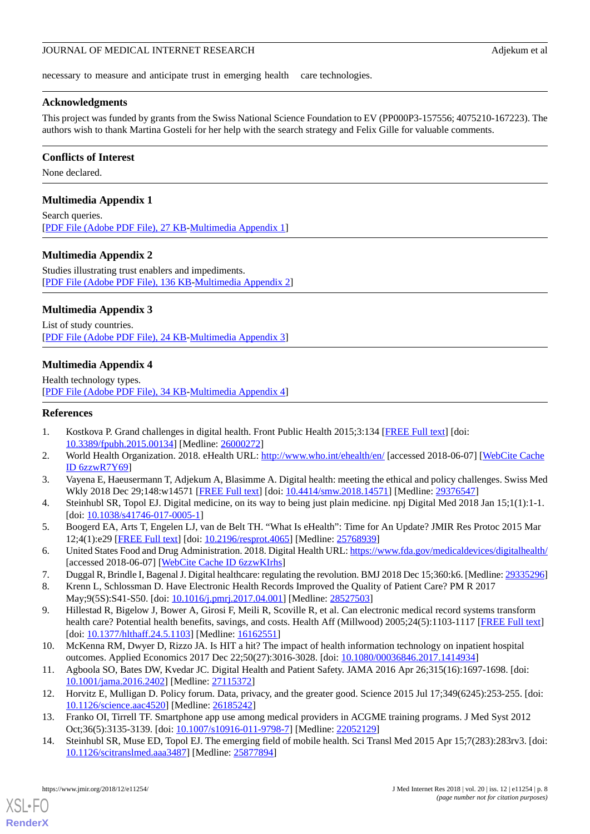necessary to measure and anticipate trust in emerging health care technologies.

# **Acknowledgments**

This project was funded by grants from the Swiss National Science Foundation to EV (PP000P3-157556; 4075210-167223). The authors wish to thank Martina Gosteli for her help with the search strategy and Felix Gille for valuable comments.

# **Conflicts of Interest**

<span id="page-7-12"></span>None declared.

# **Multimedia Appendix 1**

<span id="page-7-13"></span>Search queries. [[PDF File \(Adobe PDF File\), 27 KB](https://jmir.org/api/download?alt_name=jmir_v20i12e11254_app1.pdf&filename=221d89fce92fa2cdcdbc339d3549e794.pdf)-[Multimedia Appendix 1\]](https://jmir.org/api/download?alt_name=jmir_v20i12e11254_app1.pdf&filename=221d89fce92fa2cdcdbc339d3549e794.pdf)

# **Multimedia Appendix 2**

<span id="page-7-14"></span>Studies illustrating trust enablers and impediments. [[PDF File \(Adobe PDF File\), 136 KB](https://jmir.org/api/download?alt_name=jmir_v20i12e11254_app2.pdf)-[Multimedia Appendix 2\]](https://jmir.org/api/download?alt_name=jmir_v20i12e11254_app2.pdf)

# **Multimedia Appendix 3**

<span id="page-7-15"></span>List of study countries. [[PDF File \(Adobe PDF File\), 24 KB](https://jmir.org/api/download?alt_name=jmir_v20i12e11254_app3.pdf)-[Multimedia Appendix 3\]](https://jmir.org/api/download?alt_name=jmir_v20i12e11254_app3.pdf)

# **Multimedia Appendix 4**

<span id="page-7-0"></span>Health technology types. [[PDF File \(Adobe PDF File\), 34 KB](https://jmir.org/api/download?alt_name=jmir_v20i12e11254_app4.pdf)-[Multimedia Appendix 4\]](https://jmir.org/api/download?alt_name=jmir_v20i12e11254_app4.pdf)

# <span id="page-7-1"></span>**References**

- <span id="page-7-2"></span>1. Kostkova P. Grand challenges in digital health. Front Public Health 2015;3:134 [[FREE Full text](http://dx.doi.org/10.3389/fpubh.2015.00134)] [doi: [10.3389/fpubh.2015.00134](http://dx.doi.org/10.3389/fpubh.2015.00134)] [Medline: [26000272\]](http://www.ncbi.nlm.nih.gov/entrez/query.fcgi?cmd=Retrieve&db=PubMed&list_uids=26000272&dopt=Abstract)
- <span id="page-7-3"></span>2. World Health Organization. 2018. eHealth URL: <http://www.who.int/ehealth/en/> [accessed 2018-06-07] [\[WebCite Cache](http://www.webcitation.org/

                                            6zzwR7Y69) [ID 6zzwR7Y69\]](http://www.webcitation.org/

                                            6zzwR7Y69)
- <span id="page-7-4"></span>3. Vayena E, Haeusermann T, Adjekum A, Blasimme A. Digital health: meeting the ethical and policy challenges. Swiss Med Wkly 2018 Dec 29;148:w14571 [[FREE Full text](http://doi.emh.ch/10.4414/smw.2018.14571)] [doi: [10.4414/smw.2018.14571](http://dx.doi.org/10.4414/smw.2018.14571)] [Medline: [29376547\]](http://www.ncbi.nlm.nih.gov/entrez/query.fcgi?cmd=Retrieve&db=PubMed&list_uids=29376547&dopt=Abstract)
- <span id="page-7-5"></span>4. Steinhubl SR, Topol EJ. Digital medicine, on its way to being just plain medicine. npj Digital Med 2018 Jan 15;1(1):1-1. [doi: [10.1038/s41746-017-0005-1](http://dx.doi.org/10.1038/s41746-017-0005-1)]
- <span id="page-7-6"></span>5. Boogerd EA, Arts T, Engelen LJ, van de Belt TH. "What Is eHealth": Time for An Update? JMIR Res Protoc 2015 Mar 12;4(1):e29 [\[FREE Full text](http://www.researchprotocols.org/2015/1/e29/)] [doi: [10.2196/resprot.4065](http://dx.doi.org/10.2196/resprot.4065)] [Medline: [25768939\]](http://www.ncbi.nlm.nih.gov/entrez/query.fcgi?cmd=Retrieve&db=PubMed&list_uids=25768939&dopt=Abstract)
- 6. United States Food and Drug Administration. 2018. Digital Health URL:<https://www.fda.gov/medicaldevices/digitalhealth/> [accessed 2018-06-07] [\[WebCite Cache ID 6zzwKIrhs\]](http://www.webcitation.org/

                                            6zzwKIrhs)
- 7. Duggal R, Brindle I, Bagenal J. Digital healthcare: regulating the revolution. BMJ 2018 Dec 15;360:k6. [Medline: [29335296\]](http://www.ncbi.nlm.nih.gov/entrez/query.fcgi?cmd=Retrieve&db=PubMed&list_uids=29335296&dopt=Abstract)
- <span id="page-7-7"></span>8. Krenn L, Schlossman D. Have Electronic Health Records Improved the Quality of Patient Care? PM R 2017 May;9(5S):S41-S50. [doi: [10.1016/j.pmrj.2017.04.001](http://dx.doi.org/10.1016/j.pmrj.2017.04.001)] [Medline: [28527503](http://www.ncbi.nlm.nih.gov/entrez/query.fcgi?cmd=Retrieve&db=PubMed&list_uids=28527503&dopt=Abstract)]
- <span id="page-7-9"></span><span id="page-7-8"></span>9. Hillestad R, Bigelow J, Bower A, Girosi F, Meili R, Scoville R, et al. Can electronic medical record systems transform health care? Potential health benefits, savings, and costs. Health Aff (Millwood) 2005;24(5):1103-1117 [\[FREE Full text\]](http://content.healthaffairs.org/cgi/pmidlookup?view=long&pmid=16162551) [doi: [10.1377/hlthaff.24.5.1103](http://dx.doi.org/10.1377/hlthaff.24.5.1103)] [Medline: [16162551\]](http://www.ncbi.nlm.nih.gov/entrez/query.fcgi?cmd=Retrieve&db=PubMed&list_uids=16162551&dopt=Abstract)
- <span id="page-7-10"></span>10. McKenna RM, Dwyer D, Rizzo JA. Is HIT a hit? The impact of health information technology on inpatient hospital outcomes. Applied Economics 2017 Dec 22;50(27):3016-3028. [doi: [10.1080/00036846.2017.1414934\]](http://dx.doi.org/10.1080/00036846.2017.1414934)
- <span id="page-7-11"></span>11. Agboola SO, Bates DW, Kvedar JC. Digital Health and Patient Safety. JAMA 2016 Apr 26;315(16):1697-1698. [doi: [10.1001/jama.2016.2402](http://dx.doi.org/10.1001/jama.2016.2402)] [Medline: [27115372](http://www.ncbi.nlm.nih.gov/entrez/query.fcgi?cmd=Retrieve&db=PubMed&list_uids=27115372&dopt=Abstract)]
- 12. Horvitz E, Mulligan D. Policy forum. Data, privacy, and the greater good. Science 2015 Jul 17;349(6245):253-255. [doi: [10.1126/science.aac4520](http://dx.doi.org/10.1126/science.aac4520)] [Medline: [26185242\]](http://www.ncbi.nlm.nih.gov/entrez/query.fcgi?cmd=Retrieve&db=PubMed&list_uids=26185242&dopt=Abstract)
- 13. Franko OI, Tirrell TF. Smartphone app use among medical providers in ACGME training programs. J Med Syst 2012 Oct;36(5):3135-3139. [doi: [10.1007/s10916-011-9798-7](http://dx.doi.org/10.1007/s10916-011-9798-7)] [Medline: [22052129\]](http://www.ncbi.nlm.nih.gov/entrez/query.fcgi?cmd=Retrieve&db=PubMed&list_uids=22052129&dopt=Abstract)
- 14. Steinhubl SR, Muse ED, Topol EJ. The emerging field of mobile health. Sci Transl Med 2015 Apr 15;7(283):283rv3. [doi: [10.1126/scitranslmed.aaa3487](http://dx.doi.org/10.1126/scitranslmed.aaa3487)] [Medline: [25877894\]](http://www.ncbi.nlm.nih.gov/entrez/query.fcgi?cmd=Retrieve&db=PubMed&list_uids=25877894&dopt=Abstract)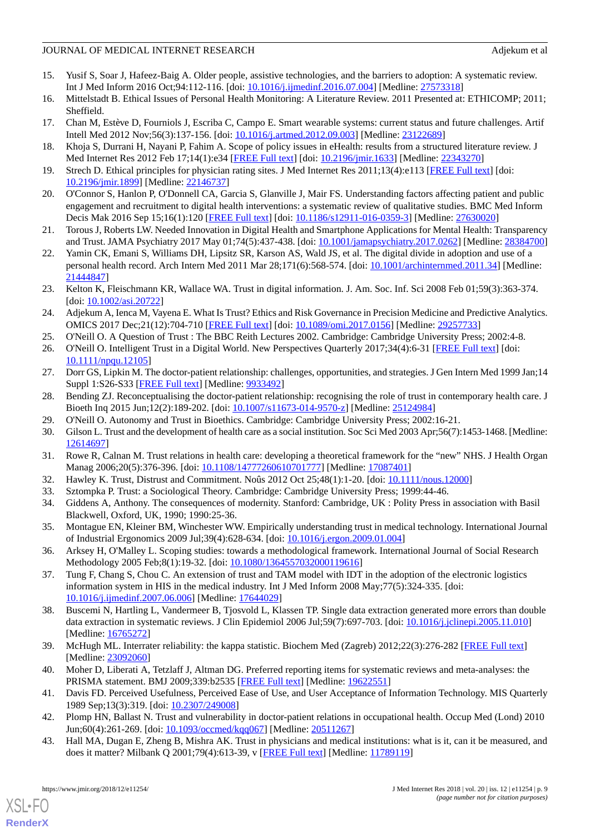# JOURNAL OF MEDICAL INTERNET RESEARCH Adjekum et al. Adjekum et al.

- <span id="page-8-0"></span>15. Yusif S, Soar J, Hafeez-Baig A. Older people, assistive technologies, and the barriers to adoption: A systematic review. Int J Med Inform 2016 Oct;94:112-116. [doi: [10.1016/j.ijmedinf.2016.07.004\]](http://dx.doi.org/10.1016/j.ijmedinf.2016.07.004) [Medline: [27573318\]](http://www.ncbi.nlm.nih.gov/entrez/query.fcgi?cmd=Retrieve&db=PubMed&list_uids=27573318&dopt=Abstract)
- 16. Mittelstadt B. Ethical Issues of Personal Health Monitoring: A Literature Review. 2011 Presented at: ETHICOMP; 2011; Sheffield.
- 17. Chan M, Estève D, Fourniols J, Escriba C, Campo E. Smart wearable systems: current status and future challenges. Artif Intell Med 2012 Nov;56(3):137-156. [doi: [10.1016/j.artmed.2012.09.003](http://dx.doi.org/10.1016/j.artmed.2012.09.003)] [Medline: [23122689](http://www.ncbi.nlm.nih.gov/entrez/query.fcgi?cmd=Retrieve&db=PubMed&list_uids=23122689&dopt=Abstract)]
- <span id="page-8-1"></span>18. Khoja S, Durrani H, Nayani P, Fahim A. Scope of policy issues in eHealth: results from a structured literature review. J Med Internet Res 2012 Feb 17;14(1):e34 [[FREE Full text](http://www.jmir.org/2012/1/e34/)] [doi: [10.2196/jmir.1633\]](http://dx.doi.org/10.2196/jmir.1633) [Medline: [22343270](http://www.ncbi.nlm.nih.gov/entrez/query.fcgi?cmd=Retrieve&db=PubMed&list_uids=22343270&dopt=Abstract)]
- <span id="page-8-2"></span>19. Strech D. Ethical principles for physician rating sites. J Med Internet Res 2011;13(4):e113 [[FREE Full text](http://www.jmir.org/2011/4/e113/)] [doi: [10.2196/jmir.1899](http://dx.doi.org/10.2196/jmir.1899)] [Medline: [22146737](http://www.ncbi.nlm.nih.gov/entrez/query.fcgi?cmd=Retrieve&db=PubMed&list_uids=22146737&dopt=Abstract)]
- <span id="page-8-12"></span>20. O'Connor S, Hanlon P, O'Donnell CA, Garcia S, Glanville J, Mair FS. Understanding factors affecting patient and public engagement and recruitment to digital health interventions: a systematic review of qualitative studies. BMC Med Inform Decis Mak 2016 Sep 15;16(1):120 [[FREE Full text](https://bmcmedinformdecismak.biomedcentral.com/articles/10.1186/s12911-016-0359-3)] [doi: [10.1186/s12911-016-0359-3](http://dx.doi.org/10.1186/s12911-016-0359-3)] [Medline: [27630020](http://www.ncbi.nlm.nih.gov/entrez/query.fcgi?cmd=Retrieve&db=PubMed&list_uids=27630020&dopt=Abstract)]
- <span id="page-8-3"></span>21. Torous J, Roberts LW. Needed Innovation in Digital Health and Smartphone Applications for Mental Health: Transparency and Trust. JAMA Psychiatry 2017 May 01;74(5):437-438. [doi: [10.1001/jamapsychiatry.2017.0262](http://dx.doi.org/10.1001/jamapsychiatry.2017.0262)] [Medline: [28384700](http://www.ncbi.nlm.nih.gov/entrez/query.fcgi?cmd=Retrieve&db=PubMed&list_uids=28384700&dopt=Abstract)]
- <span id="page-8-4"></span>22. Yamin CK, Emani S, Williams DH, Lipsitz SR, Karson AS, Wald JS, et al. The digital divide in adoption and use of a personal health record. Arch Intern Med 2011 Mar 28;171(6):568-574. [doi: [10.1001/archinternmed.2011.34\]](http://dx.doi.org/10.1001/archinternmed.2011.34) [Medline: [21444847](http://www.ncbi.nlm.nih.gov/entrez/query.fcgi?cmd=Retrieve&db=PubMed&list_uids=21444847&dopt=Abstract)]
- <span id="page-8-5"></span>23. Kelton K, Fleischmann KR, Wallace WA. Trust in digital information. J. Am. Soc. Inf. Sci 2008 Feb 01;59(3):363-374. [doi: [10.1002/asi.20722\]](http://dx.doi.org/10.1002/asi.20722)
- <span id="page-8-7"></span><span id="page-8-6"></span>24. Adjekum A, Ienca M, Vayena E. What Is Trust? Ethics and Risk Governance in Precision Medicine and Predictive Analytics. OMICS 2017 Dec;21(12):704-710 [[FREE Full text](http://europepmc.org/abstract/MED/29257733)] [doi: [10.1089/omi.2017.0156](http://dx.doi.org/10.1089/omi.2017.0156)] [Medline: [29257733\]](http://www.ncbi.nlm.nih.gov/entrez/query.fcgi?cmd=Retrieve&db=PubMed&list_uids=29257733&dopt=Abstract)
- <span id="page-8-8"></span>25. O'Neill O. A Question of Trust : The BBC Reith Lectures 2002. Cambridge: Cambridge University Press; 2002:4-8.
- 26. O'Neill O. Intelligent Trust in a Digital World. New Perspectives Quarterly 2017;34(4):6-31 [[FREE Full text](https://onlinelibrary.wiley.com/doi/pdf/10.1111/npqu.12105)] [doi: [10.1111/npqu.12105](http://dx.doi.org/10.1111/npqu.12105)]
- <span id="page-8-9"></span>27. Dorr GS, Lipkin M. The doctor-patient relationship: challenges, opportunities, and strategies. J Gen Intern Med 1999 Jan;14 Suppl 1:S26-S33 [\[FREE Full text\]](http://onlinelibrary.wiley.com/resolve/openurl?genre=article&sid=nlm:pubmed&issn=0884-8734&date=1999&volume=14&issue=&spage=S26) [Medline: [9933492\]](http://www.ncbi.nlm.nih.gov/entrez/query.fcgi?cmd=Retrieve&db=PubMed&list_uids=9933492&dopt=Abstract)
- <span id="page-8-10"></span>28. Bending ZJ. Reconceptualising the doctor-patient relationship: recognising the role of trust in contemporary health care. J Bioeth Inq 2015 Jun;12(2):189-202. [doi: [10.1007/s11673-014-9570-z](http://dx.doi.org/10.1007/s11673-014-9570-z)] [Medline: [25124984](http://www.ncbi.nlm.nih.gov/entrez/query.fcgi?cmd=Retrieve&db=PubMed&list_uids=25124984&dopt=Abstract)]
- <span id="page-8-11"></span>29. O'Neill O. Autonomy and Trust in Bioethics. Cambridge: Cambridge University Press; 2002:16-21.
- <span id="page-8-14"></span><span id="page-8-13"></span>30. Gilson L. Trust and the development of health care as a social institution. Soc Sci Med 2003 Apr;56(7):1453-1468. [Medline: [12614697](http://www.ncbi.nlm.nih.gov/entrez/query.fcgi?cmd=Retrieve&db=PubMed&list_uids=12614697&dopt=Abstract)]
- <span id="page-8-15"></span>31. Rowe R, Calnan M. Trust relations in health care: developing a theoretical framework for the "new" NHS. J Health Organ Manag 2006;20(5):376-396. [doi: [10.1108/14777260610701777](http://dx.doi.org/10.1108/14777260610701777)] [Medline: [17087401\]](http://www.ncbi.nlm.nih.gov/entrez/query.fcgi?cmd=Retrieve&db=PubMed&list_uids=17087401&dopt=Abstract)
- <span id="page-8-16"></span>32. Hawley K. Trust, Distrust and Commitment. Noûs 2012 Oct 25;48(1):1-20. [doi: [10.1111/nous.12000](http://dx.doi.org/10.1111/nous.12000)]
- <span id="page-8-17"></span>33. Sztompka P. Trust: a Sociological Theory. Cambridge: Cambridge University Press; 1999:44-46.
- 34. Giddens A, Anthony. The consequences of modernity. Stanford: Cambridge, UK : Polity Press in association with Basil Blackwell, Oxford, UK, 1990; 1990:25-36.
- <span id="page-8-18"></span>35. Montague EN, Kleiner BM, Winchester WW. Empirically understanding trust in medical technology. International Journal of Industrial Ergonomics 2009 Jul;39(4):628-634. [doi: [10.1016/j.ergon.2009.01.004\]](http://dx.doi.org/10.1016/j.ergon.2009.01.004)
- <span id="page-8-19"></span>36. Arksey H, O'Malley L. Scoping studies: towards a methodological framework. International Journal of Social Research Methodology 2005 Feb;8(1):19-32. [doi: [10.1080/1364557032000119616\]](http://dx.doi.org/10.1080/1364557032000119616)
- <span id="page-8-20"></span>37. Tung F, Chang S, Chou C. An extension of trust and TAM model with IDT in the adoption of the electronic logistics information system in HIS in the medical industry. Int J Med Inform 2008 May;77(5):324-335. [doi: [10.1016/j.ijmedinf.2007.06.006\]](http://dx.doi.org/10.1016/j.ijmedinf.2007.06.006) [Medline: [17644029](http://www.ncbi.nlm.nih.gov/entrez/query.fcgi?cmd=Retrieve&db=PubMed&list_uids=17644029&dopt=Abstract)]
- <span id="page-8-22"></span><span id="page-8-21"></span>38. Buscemi N, Hartling L, Vandermeer B, Tjosvold L, Klassen TP. Single data extraction generated more errors than double data extraction in systematic reviews. J Clin Epidemiol 2006 Jul;59(7):697-703. [doi: [10.1016/j.jclinepi.2005.11.010](http://dx.doi.org/10.1016/j.jclinepi.2005.11.010)] [Medline: [16765272](http://www.ncbi.nlm.nih.gov/entrez/query.fcgi?cmd=Retrieve&db=PubMed&list_uids=16765272&dopt=Abstract)]
- <span id="page-8-23"></span>39. McHugh ML. Interrater reliability: the kappa statistic. Biochem Med (Zagreb) 2012;22(3):276-282 [\[FREE Full text\]](http://www.pubmedcentral.nih.gov/articlerender.fcgi?artid=3900052&tool=pmcentrez&rendertype=abstract) [Medline: [23092060](http://www.ncbi.nlm.nih.gov/entrez/query.fcgi?cmd=Retrieve&db=PubMed&list_uids=23092060&dopt=Abstract)]
- <span id="page-8-24"></span>40. Moher D, Liberati A, Tetzlaff J, Altman DG. Preferred reporting items for systematic reviews and meta-analyses: the PRISMA statement. BMJ 2009;339:b2535 [[FREE Full text](http://europepmc.org/abstract/MED/19622551)] [Medline: [19622551](http://www.ncbi.nlm.nih.gov/entrez/query.fcgi?cmd=Retrieve&db=PubMed&list_uids=19622551&dopt=Abstract)]
- 41. Davis FD. Perceived Usefulness, Perceived Ease of Use, and User Acceptance of Information Technology. MIS Quarterly 1989 Sep;13(3):319. [doi: [10.2307/249008\]](http://dx.doi.org/10.2307/249008)
- 42. Plomp HN, Ballast N. Trust and vulnerability in doctor-patient relations in occupational health. Occup Med (Lond) 2010 Jun;60(4):261-269. [doi: [10.1093/occmed/kqq067](http://dx.doi.org/10.1093/occmed/kqq067)] [Medline: [20511267](http://www.ncbi.nlm.nih.gov/entrez/query.fcgi?cmd=Retrieve&db=PubMed&list_uids=20511267&dopt=Abstract)]
- 43. Hall MA, Dugan E, Zheng B, Mishra AK. Trust in physicians and medical institutions: what is it, can it be measured, and does it matter? Milbank Q 2001;79(4):613-39, v [\[FREE Full text\]](http://europepmc.org/abstract/MED/11789119) [Medline: [11789119\]](http://www.ncbi.nlm.nih.gov/entrez/query.fcgi?cmd=Retrieve&db=PubMed&list_uids=11789119&dopt=Abstract)